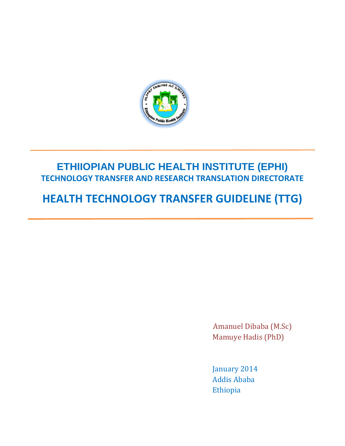

# **ETHIIOPIAN PUBLIC HEALTH INSTITUTE (EPHI) TECHNOLOGY TRANSFER AND RESEARCH TRANSLATION DIRECTORATE**

# **HEALTH TECHNOLOGY TRANSFER GUIDELINE (TTG)**

 Amanuel Dibaba (M.Sc) Mamuye Hadis (PhD)

 January 2014 Addis Ababa Ethiopia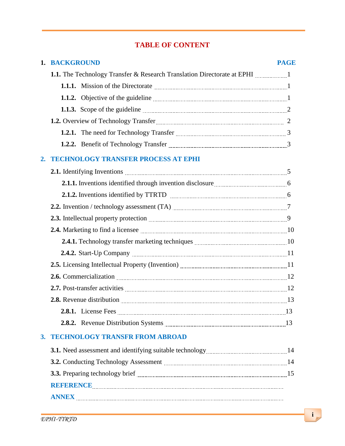# **TABLE OF CONTENT**

|    | 1. BACKGROUND                                                                                                                                                                                                                       | <b>PAGE</b> |  |  |  |  |  |
|----|-------------------------------------------------------------------------------------------------------------------------------------------------------------------------------------------------------------------------------------|-------------|--|--|--|--|--|
|    | 1.1. The Technology Transfer & Research Translation Directorate at EPHI                                                                                                                                                             |             |  |  |  |  |  |
|    |                                                                                                                                                                                                                                     |             |  |  |  |  |  |
|    | 1.1.2. Objective of the guideline <i>manual content of the suite</i> and the suite of the guideline manual content of the suite of the guideline manual content of the guideline manual content of the guideline manual content of  |             |  |  |  |  |  |
|    | 1.1.3. Scope of the guideline <b>contained a container and a container a container a container and a container a</b>                                                                                                                |             |  |  |  |  |  |
|    |                                                                                                                                                                                                                                     |             |  |  |  |  |  |
|    |                                                                                                                                                                                                                                     |             |  |  |  |  |  |
|    | 1.2.2. Benefit of Technology Transfer <b>Manual</b> 2.2.2. Benefit of Technology Transfer                                                                                                                                           |             |  |  |  |  |  |
| 2. | <b>TECHNOLOGY TRANSFER PROCESS AT EPHI</b>                                                                                                                                                                                          |             |  |  |  |  |  |
|    |                                                                                                                                                                                                                                     |             |  |  |  |  |  |
|    |                                                                                                                                                                                                                                     |             |  |  |  |  |  |
|    |                                                                                                                                                                                                                                     |             |  |  |  |  |  |
|    |                                                                                                                                                                                                                                     |             |  |  |  |  |  |
|    |                                                                                                                                                                                                                                     |             |  |  |  |  |  |
|    | 2.4. Marketing to find a licensee manufacture and the state of 10                                                                                                                                                                   |             |  |  |  |  |  |
|    |                                                                                                                                                                                                                                     |             |  |  |  |  |  |
|    |                                                                                                                                                                                                                                     |             |  |  |  |  |  |
|    | 2.5. Licensing Intellectual Property (Invention) <b>manual contract and all 2.5.</b> Licensing Intellectual Property (Invention)                                                                                                    |             |  |  |  |  |  |
|    | 2.6. Commercialization 2.6. Commercialization 2.5. Page 12                                                                                                                                                                          |             |  |  |  |  |  |
|    |                                                                                                                                                                                                                                     |             |  |  |  |  |  |
|    | 2.8. Revenue distribution <i>manual contraction</i> and the set of the set of the set of the set of the set of the set of the set of the set of the set of the set of the set of the set of the set of the set of the set of the se |             |  |  |  |  |  |
|    |                                                                                                                                                                                                                                     |             |  |  |  |  |  |
|    |                                                                                                                                                                                                                                     |             |  |  |  |  |  |
| 3. | <b>TECHNOLOGY TRANSFR FROM ABROAD</b>                                                                                                                                                                                               |             |  |  |  |  |  |
|    |                                                                                                                                                                                                                                     |             |  |  |  |  |  |
|    | 3.2. Conducting Technology Assessment manufactured and the conducting Technology Assessment manufactured and the conduction of 14                                                                                                   |             |  |  |  |  |  |
|    |                                                                                                                                                                                                                                     |             |  |  |  |  |  |
|    | REFERENCE EXAMPLE THE REFERENCE CONTRACT THE REFERENCE THE RESERVE OF THE RESERVE OF THE RESERVE OF THE RESERVE OF THE RESERVE OF THE RESERVE OF THE RESERVE OF THE RESERVE OF THE RESERVE OF THE RESERVE OF THE RESERVE OF TH      |             |  |  |  |  |  |
|    |                                                                                                                                                                                                                                     |             |  |  |  |  |  |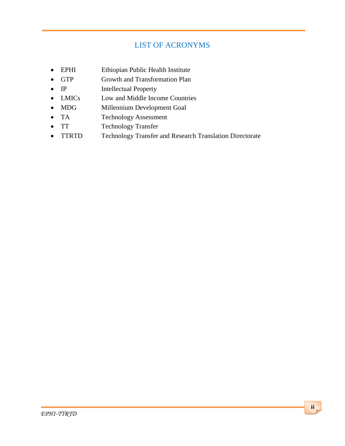# LIST OF ACRONYMS

- EPHI Ethiopian Public Health Institute
- GTP Growth and Transformation Plan
- IP Intellectual Property
- LMICs Low and Middle Income Countries
- MDG Millennium Development Goal
- TA Technology Assessment
- TT Technology Transfer
- TTRTD Technology Transfer and Research Translation Directorate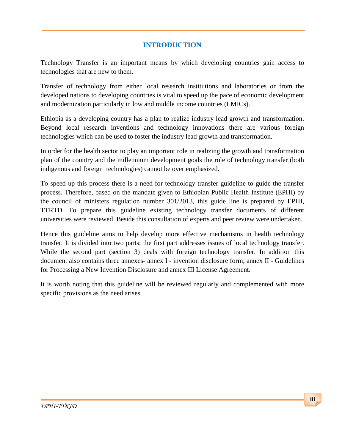# **INTRODUCTION**

Technology Transfer is an important means by which developing countries gain access to technologies that are new to them.

Transfer of technology from either local research institutions and laboratories or from the developed nations to developing countries is vital to speed up the pace of economic development and modernization particularly in low and middle income countries (LMICs).

Ethiopia as a developing country has a plan to realize industry lead growth and transformation. Beyond local research inventions and technology innovations there are various foreign technologies which can be used to foster the industry lead growth and transformation.

In order for the health sector to play an important role in realizing the growth and transformation plan of the country and the millennium development goals the role of technology transfer (both indigenous and foreign technologies) cannot be over emphasized.

To speed up this process there is a need for technology transfer guideline to guide the transfer process. Therefore, based on the mandate given to Ethiopian Public Health Institute (EPHI) by the council of ministers regulation number 301/2013, this guide line is prepared by EPHI, TTRTD. To prepare this guideline existing technology transfer documents of different universities were reviewed. Beside this consultation of experts and peer review were undertaken.

Hence this guideline aims to help develop more effective mechanisms in health technology transfer. It is divided into two parts; the first part addresses issues of local technology transfer. While the second part (section 3) deals with foreign technology transfer. In addition this document also contains three annexes- annex I - invention disclosure form, annex II - Guidelines for Processing a New Invention Disclosure and annex III License Agreement.

It is worth noting that this guideline will be reviewed regularly and complemented with more specific provisions as the need arises.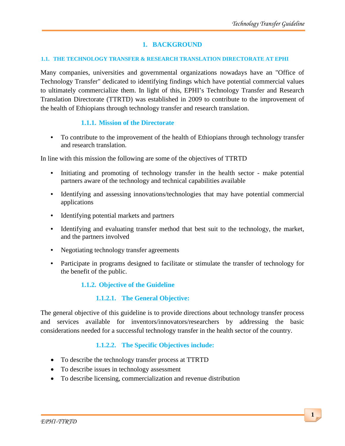# **1. BACKGROUND**

#### **1.1. THE TECHNOLOGY TRANSFER & RESEARCH TRANSLATION DIRECTORATE AT EPHI**

Many companies, universities and governmental organizations nowadays have an "Office of Technology Transfer" dedicated to identifying findings which have potential commercial values to ultimately commercialize them. In light of this, EPHI's Technology Transfer and Research Translation Directorate (TTRTD) was established in 2009 to contribute to the improvement of the health of Ethiopians through technology transfer and research translation.

# **1.1.1. Mission of the Directorate**

• To contribute to the improvement of the health of Ethiopians through technology transfer and research translation.

In line with this mission the following are some of the objectives of TTRTD

- Initiating and promoting of technology transfer in the health sector make potential partners aware of the technology and technical capabilities available
- Identifying and assessing innovations/technologies that may have potential commercial applications
- Identifying potential markets and partners
- Identifying and evaluating transfer method that best suit to the technology, the market, and the partners involved
- Negotiating technology transfer agreements
- Participate in programs designed to facilitate or stimulate the transfer of technology for the benefit of the public.

# **1.1.2. Objective of the Guideline**

# **1.1.2.1. The General Objective:**

The general objective of this guideline is to provide directions about technology transfer process and services available for inventors/innovators/researchers by addressing the basic considerations needed for a successful technology transfer in the health sector of the country.

# **1.1.2.2. The Specific Objectives include:**

- To describe the technology transfer process at TTRTD
- To describe issues in technology assessment
- To describe licensing, commercialization and revenue distribution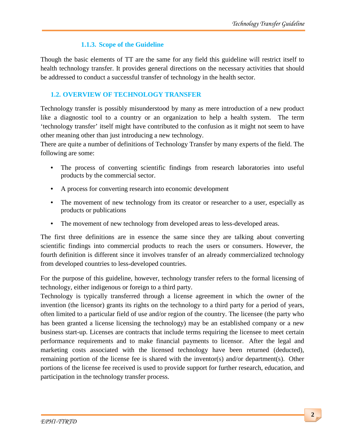# **1.1.3. Scope of the Guideline**

Though the basic elements of TT are the same for any field this guideline will restrict itself to health technology transfer. It provides general directions on the necessary activities that should be addressed to conduct a successful transfer of technology in the health sector.

# **1.2. OVERVIEW OF TECHNOLOGY TRANSFER**

Technology transfer is possibly misunderstood by many as mere introduction of a new product like a diagnostic tool to a country or an organization to help a health system. The term 'technology transfer' itself might have contributed to the confusion as it might not seem to have other meaning other than just introducing a new technology.

There are quite a number of definitions of Technology Transfer by many experts of the field. The following are some:

- The process of converting scientific findings from research laboratories into useful products by the commercial sector.
- A process for converting research into economic development
- The movement of new technology from its creator or researcher to a user, especially as products or publications
- The movement of new technology from developed areas to less-developed areas.

The first three definitions are in essence the same since they are talking about converting scientific findings into commercial products to reach the users or consumers. However, the fourth definition is different since it involves transfer of an already commercialized technology from developed countries to less-developed countries.

For the purpose of this guideline, however, technology transfer refers to the formal licensing of technology, either indigenous or foreign to a third party.

Technology is typically transferred through a license agreement in which the owner of the invention (the licensor) grants its rights on the technology to a third party for a period of years, often limited to a particular field of use and/or region of the country. The licensee (the party who has been granted a license licensing the technology) may be an established company or a new business start-up. Licenses are contracts that include terms requiring the licensee to meet certain performance requirements and to make financial payments to licensor. After the legal and marketing costs associated with the licensed technology have been returned (deducted), remaining portion of the license fee is shared with the inventor(s) and/or department(s). Other portions of the license fee received is used to provide support for further research, education, and participation in the technology transfer process.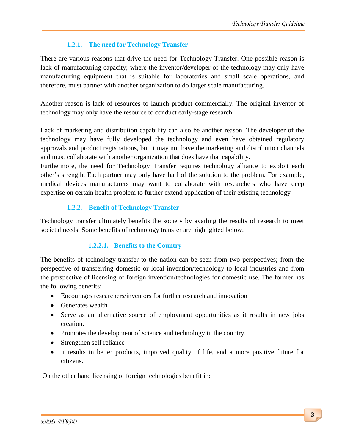# **1.2.1. The need for Technology Transfer**

There are various reasons that drive the need for Technology Transfer. One possible reason is lack of manufacturing capacity; where the inventor/developer of the technology may only have manufacturing equipment that is suitable for laboratories and small scale operations, and therefore, must partner with another organization to do larger scale manufacturing.

Another reason is lack of resources to launch product commercially. The original inventor of technology may only have the resource to conduct early-stage research.

Lack of marketing and distribution capability can also be another reason. The developer of the technology may have fully developed the technology and even have obtained regulatory approvals and product registrations, but it may not have the marketing and distribution channels and must collaborate with another organization that does have that capability.

Furthermore, the need for Technology Transfer requires technology alliance to exploit each other's strength. Each partner may only have half of the solution to the problem. For example, medical devices manufacturers may want to collaborate with researchers who have deep expertise on certain health problem to further extend application of their existing technology

# **1.2.2. Benefit of Technology Transfer**

Technology transfer ultimately benefits the society by availing the results of research to meet societal needs. Some benefits of technology transfer are highlighted below.

# **1.2.2.1. Benefits to the Country**

The benefits of technology transfer to the nation can be seen from two perspectives; from the perspective of transferring domestic or local invention/technology to local industries and from the perspective of licensing of foreign invention/technologies for domestic use. The former has the following benefits:

- Encourages researchers/inventors for further research and innovation
- Generates wealth
- Serve as an alternative source of employment opportunities as it results in new jobs creation.
- Promotes the development of science and technology in the country.
- Strengthen self reliance
- It results in better products, improved quality of life, and a more positive future for citizens.

On the other hand licensing of foreign technologies benefit in: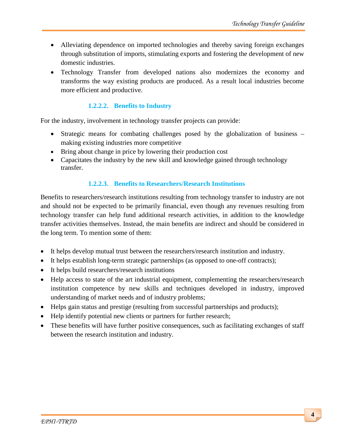- Alleviating dependence on imported technologies and thereby saving foreign exchanges through substitution of imports, stimulating exports and fostering the development of new domestic industries.
- Technology Transfer from developed nations also modernizes the economy and transforms the way existing products are produced. As a result local industries become more efficient and productive.

# **1.2.2.2. Benefits to Industry**

For the industry, involvement in technology transfer projects can provide:

- Strategic means for combating challenges posed by the globalization of business making existing industries more competitive
- Bring about change in price by lowering their production cost
- Capacitates the industry by the new skill and knowledge gained through technology transfer.

#### **1.2.2.3. Benefits to Researchers/Research Institutions**

Benefits to researchers/research institutions resulting from technology transfer to industry are not and should not be expected to be primarily financial, even though any revenues resulting from technology transfer can help fund additional research activities, in addition to the knowledge transfer activities themselves. Instead, the main benefits are indirect and should be considered in the long term. To mention some of them:

- It helps develop mutual trust between the researchers/research institution and industry.
- It helps establish long-term strategic partnerships (as opposed to one-off contracts);
- It helps build researchers/research institutions
- Help access to state of the art industrial equipment, complementing the researchers/research institution competence by new skills and techniques developed in industry, improved understanding of market needs and of industry problems;
- Helps gain status and prestige (resulting from successful partnerships and products);
- Help identify potential new clients or partners for further research;
- These benefits will have further positive consequences, such as facilitating exchanges of staff between the research institution and industry.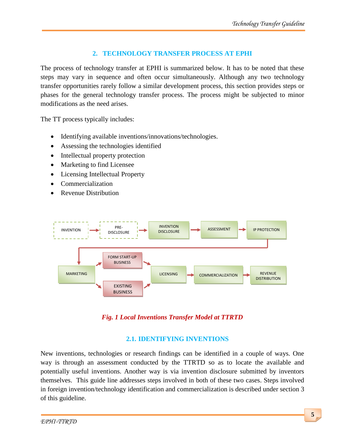# **2. TECHNOLOGY TRANSFER PROCESS AT EPHI**

The process of technology transfer at EPHI is summarized below. It has to be noted that these steps may vary in sequence and often occur simultaneously. Although any two technology transfer opportunities rarely follow a similar development process, this section provides steps or phases for the general technology transfer process. The process might be subjected to minor modifications as the need arises.

The TT process typically includes:

- Identifying available inventions/innovations/technologies.
- Assessing the technologies identified
- Intellectual property protection
- Marketing to find Licensee
- Licensing Intellectual Property
- Commercialization
- Revenue Distribution



#### *Fig. 1 Local Inventions Transfer Model at TTRTD*

#### **2.1. IDENTIFYING INVENTIONS**

New inventions, technologies or research findings can be identified in a couple of ways. One way is through an assessment conducted by the TTRTD so as to locate the available and potentially useful inventions. Another way is via invention disclosure submitted by inventors themselves. This guide line addresses steps involved in both of these two cases. Steps involved in foreign invention/technology identification and commercialization is described under section 3 of this guideline.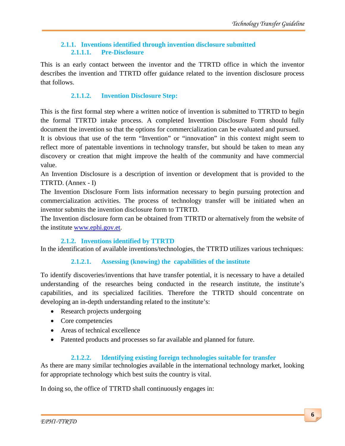# **2.1.1. Inventions identified through invention disclosure submitted 2.1.1.1. Pre-Disclosure**

This is an early contact between the inventor and the TTRTD office in which the inventor describes the invention and TTRTD offer guidance related to the invention disclosure process that follows.

# **2.1.1.2. Invention Disclosure Step:**

This is the first formal step where a written notice of invention is submitted to TTRTD to begin the formal TTRTD intake process. A completed Invention Disclosure Form should fully document the invention so that the options for commercialization can be evaluated and pursued.

It is obvious that use of the term "Invention" or "innovation" in this context might seem to reflect more of patentable inventions in technology transfer, but should be taken to mean any discovery or creation that might improve the health of the community and have commercial value.

An Invention Disclosure is a description of invention or development that is provided to the TTRTD. (Annex - I)

The Invention Disclosure Form lists information necessary to begin pursuing protection and commercialization activities. The process of technology transfer will be initiated when an inventor submits the invention disclosure form to TTRTD.

The Invention disclosure form can be obtained from TTRTD or alternatively from the website of the institute [www.ephi.gov.et.](http://www.ehnri.gov.et/)

#### **2.1.2. Inventions identified by TTRTD**

In the identification of available inventions/technologies, the TTRTD utilizes various techniques:

# **2.1.2.1. Assessing (knowing) the capabilities of the institute**

To identify discoveries/inventions that have transfer potential, it is necessary to have a detailed understanding of the researches being conducted in the research institute, the institute's capabilities, and its specialized facilities. Therefore the TTRTD should concentrate on developing an in-depth understanding related to the institute's:

- Research projects undergoing
- Core competencies
- Areas of technical excellence
- Patented products and processes so far available and planned for future.

# **2.1.2.2. Identifying existing foreign technologies suitable for transfer**

As there are many similar technologies available in the international technology market, looking for appropriate technology which best suits the country is vital.

In doing so, the office of TTRTD shall continuously engages in: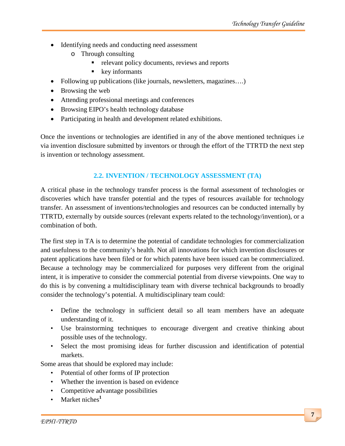- Identifying needs and conducting need assessment
	- o Through consulting
		- relevant policy documents, reviews and reports
		- $\bullet$  key informants
- Following up publications (like journals, newsletters, magazines....)
- Browsing the web
- Attending professional meetings and conferences
- Browsing EIPO's health technology database
- Participating in health and development related exhibitions.

Once the inventions or technologies are identified in any of the above mentioned techniques i.e via invention disclosure submitted by inventors or through the effort of the TTRTD the next step is invention or technology assessment.

# **2.2. INVENTION / TECHNOLOGY ASSESSMENT (TA)**

A critical phase in the technology transfer process is the formal assessment of technologies or discoveries which have transfer potential and the types of resources available for technology transfer. An assessment of inventions/technologies and resources can be conducted internally by TTRTD, externally by outside sources (relevant experts related to the technology/invention), or a combination of both.

The first step in TA is to determine the potential of candidate technologies for commercialization and usefulness to the community's health. Not all innovations for which invention disclosures or patent applications have been filed or for which patents have been issued can be commercialized. Because a technology may be commercialized for purposes very different from the original intent, it is imperative to consider the commercial potential from diverse viewpoints. One way to do this is by convening a multidisciplinary team with diverse technical backgrounds to broadly consider the technology's potential. A multidisciplinary team could:

- Define the technology in sufficient detail so all team members have an adequate understanding of it.
- Use brainstorming techniques to encourage divergent and creative thinking about possible uses of the technology.
- Select the most promising ideas for further discussion and identification of potential markets.

Some areas that should be explored may include:

- Potential of other forms of IP protection
- Whether the invention is based on evidence
- Competitive advantage possibilities
- Market niches<sup>1</sup>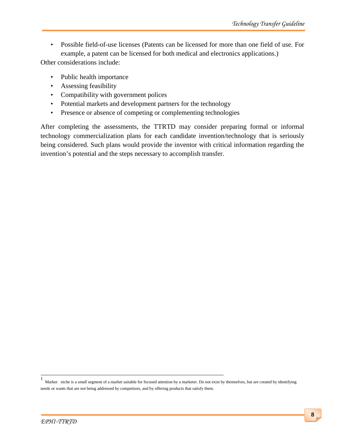• Possible field-of-use licenses (Patents can be licensed for more than one field of use. For example, a patent can be licensed for both medical and electronics applications.)

Other considerations include:

- Public health importance
- Assessing feasibility
- Compatibility with government polices
- Potential markets and development partners for the technology
- Presence or absence of competing or complementing technologies

After completing the assessments, the TTRTD may consider preparing formal or informal technology commercialization plans for each candidate invention/technology that is seriously being considered. Such plans would provide the inventor with critical information regarding the invention's potential and the steps necessary to accomplish transfer.

<sup>1</sup> Market niche is a small segment of [a market](http://www.investorguide.com/definition/market.html) suitable for focused attention by a marketer. Do not exist by themselves, but are created by identifying needs or wants that are not being addressed b[y competitors,](http://www.businessdictionary.com/definition/competitor.html) and b[y offering](http://www.investorwords.com/3390/offering.html) [products](http://www.investorguide.com/definition/product.html) that satisfy them.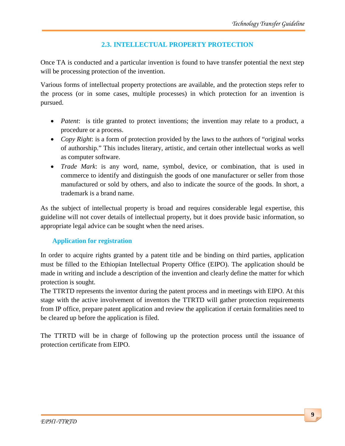# **2.3. INTELLECTUAL PROPERTY PROTECTION**

Once TA is conducted and a particular invention is found to have transfer potential the next step will be processing protection of the invention.

Various forms of intellectual property protections are available, and the protection steps refer to the process (or in some cases, multiple processes) in which protection for an invention is pursued.

- *Patent*: is title granted to protect inventions; the invention may relate to a product, a procedure or a process.
- *Copy Right*: is a form of protection provided by the laws to the authors of "original works of authorship." This includes literary, artistic, and certain other intellectual works as well as computer software.
- *Trade Mark*: is any word, name, symbol, device, or combination, that is used in commerce to identify and distinguish the goods of one manufacturer or seller from those manufactured or sold by others, and also to indicate the source of the goods. In short, a trademark is a brand name.

As the subject of intellectual property is broad and requires considerable legal expertise, this guideline will not cover details of intellectual property, but it does provide basic information, so appropriate legal advice can be sought when the need arises.

# **Application for registration**

In order to acquire rights granted by a patent title and be binding on third parties, application must be filled to the Ethiopian Intellectual Property Office (EIPO). The application should be made in writing and include a description of the invention and clearly define the matter for which protection is sought.

The TTRTD represents the inventor during the patent process and in meetings with EIPO. At this stage with the active involvement of inventors the TTRTD will gather protection requirements from IP office, prepare patent application and review the application if certain formalities need to be cleared up before the application is filed.

The TTRTD will be in charge of following up the protection process until the issuance of protection certificate from EIPO.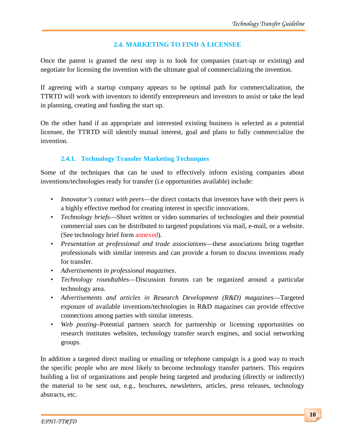#### **2.4. MARKETING TO FIND A LICENSEE**

Once the patent is granted the next step is to look for companies (start-up or existing) and negotiate for licensing the invention with the ultimate goal of commercializing the invention.

If agreeing with a startup company appears to be optimal path for commercialization, the TTRTD will work with inventors to identify entrepreneurs and investors to assist or take the lead in planning, creating and funding the start up.

On the other hand if an appropriate and interested existing business is selected as a potential licensee, the TTRTD will identify mutual interest, goal and plans to fully commercialize the invention.

# **2.4.1. Technology Transfer Marketing Techniques**

Some of the techniques that can be used to effectively inform existing companies about inventions/technologies ready for transfer (i.e opportunities available) include:

- *Innovator's contact with peers*—the direct contacts that inventors have with their peers is a highly effective method for creating interest in specific innovations.
- *Technology briefs*—Short written or video summaries of technologies and their potential commercial uses can be distributed to targeted populations via mail, e-mail, or a website. (See technology brief form annexed).
- *Presentation at professional and trade associations*—these associations bring together professionals with similar interests and can provide a forum to discuss inventions ready for transfer.
- *Advertisements in professional magazines*.
- *Technology roundtables*—Discussion forums can be organized around a particular technology area.
- *Advertisements and articles in Research Development (R&D) magazines*—Targeted exposure of available inventions/technologies in R&D magazines can provide effective connections among parties with similar interests.
- *Web posting*–Potential partners search for partnership or licensing opportunities on research institutes websites, technology transfer search engines, and social networking groups.

In addition a targeted direct mailing or emailing or telephone campaign is a good way to reach the specific people who are most likely to become technology transfer partners. This requires building a list of organizations and people being targeted and producing (directly or indirectly) the material to be sent out, e.g., brochures, newsletters, articles, press releases, technology abstracts, etc.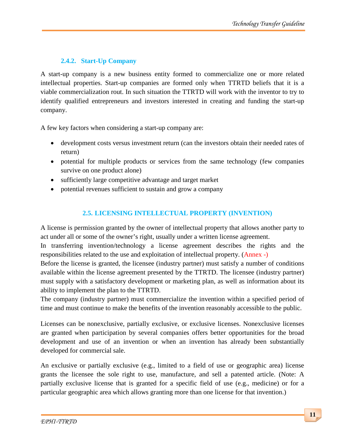# **2.4.2. Start-Up Company**

A start-up company is a new business entity formed to commercialize one or more related intellectual properties. Start-up companies are formed only when TTRTD beliefs that it is a viable commercialization rout. In such situation the TTRTD will work with the inventor to try to identify qualified entrepreneurs and investors interested in creating and funding the start-up company.

A few key factors when considering a start-up company are:

- development costs versus investment return (can the investors obtain their needed rates of return)
- potential for multiple products or services from the same technology (few companies survive on one product alone)
- sufficiently large competitive advantage and target market
- potential revenues sufficient to sustain and grow a company

# **2.5. LICENSING INTELLECTUAL PROPERTY (INVENTION)**

A license is permission granted by the owner of intellectual property that allows another party to act under all or some of the owner's right, usually under a written license agreement.

In transferring invention/technology a license agreement describes the rights and the responsibilities related to the use and exploitation of intellectual property. (Annex -)

Before the license is granted, the licensee (industry partner) must satisfy a number of conditions available within the license agreement presented by the TTRTD. The licensee (industry partner) must supply with a satisfactory development or marketing plan, as well as information about its ability to implement the plan to the TTRTD.

The company (industry partner) must commercialize the invention within a specified period of time and must continue to make the benefits of the invention reasonably accessible to the public.

Licenses can be nonexclusive, partially exclusive, or exclusive licenses. Nonexclusive licenses are granted when participation by several companies offers better opportunities for the broad development and use of an invention or when an invention has already been substantially developed for commercial sale.

An exclusive or partially exclusive (e.g., limited to a field of use or geographic area) license grants the licensee the sole right to use, manufacture, and sell a patented article. (Note: A partially exclusive license that is granted for a specific field of use (e.g., medicine) or for a particular geographic area which allows granting more than one license for that invention.)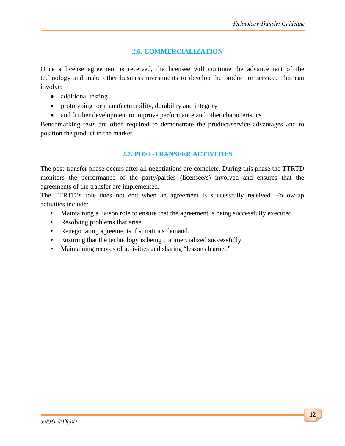# **2.6. COMMERCIALIZATION**

Once a license agreement is received, the licensee will continue the advancement of the technology and make other business investments to develop the product or service. This can involve:

- additional testing
- prototyping for manufacturability, durability and integrity
- and further development to improve performance and other characteristics

Benchmarking tests are often required to demonstrate the product/service advantages and to position the product in the market.

# **2.7. POST-TRANSFER ACTIVITIES**

The post-transfer phase occurs after all negotiations are complete. During this phase the TTRTD monitors the performance of the party/parties (licensee/s) involved and ensures that the agreements of the transfer are implemented.

The TTRTD's role does not end when an agreement is successfully received. Follow-up activities include:

- Maintaining a liaison role to ensure that the agreement is being successfully executed
- Resolving problems that arise
- Renegotiating agreements if situations demand.
- Ensuring that the technology is being commercialized successfully
- Maintaining records of activities and sharing "lessons learned"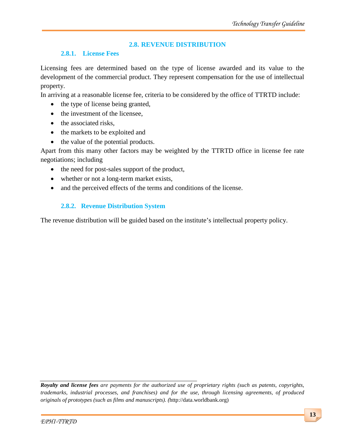# **2.8. REVENUE DISTRIBUTION**

#### **2.8.1. License Fees**

Licensing fees are determined based on the type of license awarded and its value to the development of the commercial product. They represent compensation for the use of intellectual property.

In arriving at a reasonable license fee, criteria to be considered by the office of TTRTD include:

- the type of license being granted,
- the investment of the licensee.
- the associated risks,
- the markets to be exploited and
- the value of the potential products.

Apart from this many other factors may be weighted by the TTRTD office in license fee rate negotiations; including

- the need for post-sales support of the product,
- whether or not a long-term market exists,
- and the perceived effects of the terms and conditions of the license.

# **2.8.2. Revenue Distribution System**

The revenue distribution will be guided based on the institute's intellectual property policy.

*Royalty and license fees are payments for the authorized use of proprietary rights (such as patents, copyrights, trademarks, industrial processes, and franchises) and for the use, through licensing agreements, of produced originals of prototypes (such as films and manuscripts). (*http://data.worldbank.org)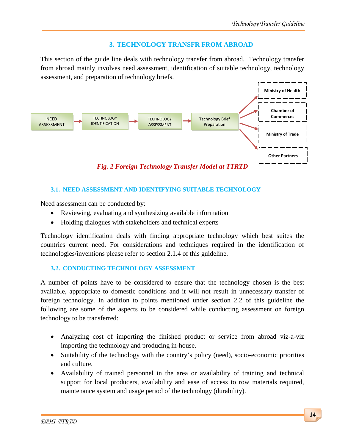#### **3. TECHNOLOGY TRANSFR FROM ABROAD**

This section of the guide line deals with technology transfer from abroad. Technology transfer from abroad mainly involves need assessment, identification of suitable technology, technology assessment, and preparation of technology briefs.



#### **3.1. NEED ASSESSMENT AND IDENTIFYING SUITABLE TECHNOLOGY**

Need assessment can be conducted by:

- Reviewing, evaluating and synthesizing available information
- Holding dialogues with stakeholders and technical experts

Technology identification deals with finding appropriate technology which best suites the countries current need. For considerations and techniques required in the identification of technologies/inventions please refer to section 2.1.4 of this guideline.

#### **3.2. CONDUCTING TECHNOLOGY ASSESSMENT**

A number of points have to be considered to ensure that the technology chosen is the best available, appropriate to domestic conditions and it will not result in unnecessary transfer of foreign technology. In addition to points mentioned under section 2.2 of this guideline the following are some of the aspects to be considered while conducting assessment on foreign technology to be transferred:

- Analyzing cost of importing the finished product or service from abroad viz-a-viz importing the technology and producing in-house.
- Suitability of the technology with the country's policy (need), socio-economic priorities and culture.
- Availability of trained personnel in the area or availability of training and technical support for local producers, availability and ease of access to row materials required, maintenance system and usage period of the technology (durability).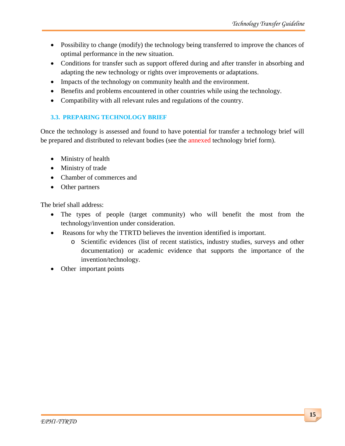- Possibility to change (modify) the technology being transferred to improve the chances of optimal performance in the new situation.
- Conditions for transfer such as support offered during and after transfer in absorbing and adapting the new technology or rights over improvements or adaptations.
- Impacts of the technology on community health and the environment.
- Benefits and problems encountered in other countries while using the technology.
- Compatibility with all relevant rules and regulations of the country.

# **3.3. PREPARING TECHNOLOGY BRIEF**

Once the technology is assessed and found to have potential for transfer a technology brief will be prepared and distributed to relevant bodies (see the annexed technology brief form).

- Ministry of health
- Ministry of trade
- Chamber of commerces and
- Other partners

The brief shall address:

- The types of people (target community) who will benefit the most from the technology/invention under consideration.
- Reasons for why the TTRTD believes the invention identified is important.
	- o Scientific evidences (list of recent statistics, industry studies, surveys and other documentation) or academic evidence that supports the importance of the invention/technology.
- Other important points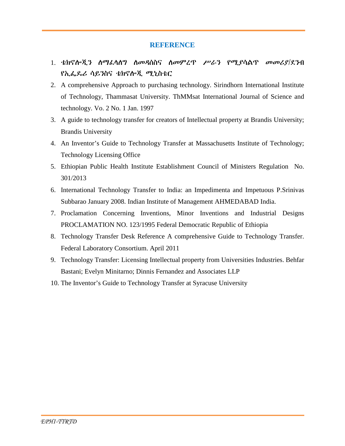#### **REFERENCE**

- 1. ቴክኖሎጂን ስማፌሳስግ ስመዳስስና ስመምረጥ ሥራን የሚያሳልጥ መመሪያ/ደንብ የኢፌዶሪ ሳይንስና ቴክኖሎጂ ሚኒስቴር
- 2. A comprehensive Approach to purchasing technology. Sirindhorn International Institute of Technology, Thammasat University. ThMMsat International Journal of Science and technology. Vo. 2 No. 1 Jan. 1997
- 3. A guide to technology transfer for creators of Intellectual property at Brandis University; Brandis University
- 4. An Inventor's Guide to Technology Transfer at Massachusetts Institute of Technology; Technology Licensing Office
- 5. Ethiopian Public Health Institute Establishment Council of Ministers Regulation No. 301/2013
- 6. International Technology Transfer to India: an Impedimenta and Impetuous P.Srinivas Subbarao January 2008. Indian Institute of Management AHMEDABAD India.
- 7. Proclamation Concerning Inventions, Minor Inventions and Industrial Designs PROCLAMATION NO. 123/1995 Federal Democratic Republic of Ethiopia
- 8. Technology Transfer Desk Reference A comprehensive Guide to Technology Transfer. Federal Laboratory Consortium. April 2011
- 9. Technology Transfer: Licensing Intellectual property from Universities Industries. Behfar Bastani; Evelyn Minitarno; Dinnis Fernandez and Associates LLP
- 10. The Inventor's Guide to Technology Transfer at Syracuse University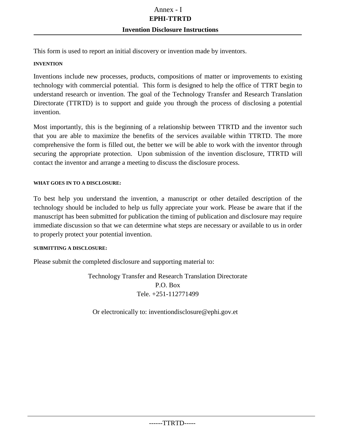This form is used to report an initial discovery or invention made by inventors.

#### **INVENTION**

Inventions include new processes, products, compositions of matter or improvements to existing technology with commercial potential. This form is designed to help the office of TTRT begin to understand research or invention. The goal of the Technology Transfer and Research Translation Directorate (TTRTD) is to support and guide you through the process of disclosing a potential invention.

Most importantly, this is the beginning of a relationship between TTRTD and the inventor such that you are able to maximize the benefits of the services available within TTRTD. The more comprehensive the form is filled out, the better we will be able to work with the inventor through securing the appropriate protection. Upon submission of the invention disclosure, TTRTD will contact the inventor and arrange a meeting to discuss the disclosure process.

#### **WHAT GOES IN TO A DISCLOSURE:**

To best help you understand the invention, a manuscript or other detailed description of the technology should be included to help us fully appreciate your work. Please be aware that if the manuscript has been submitted for publication the timing of publication and disclosure may require immediate discussion so that we can determine what steps are necessary or available to us in order to properly protect your potential invention.

#### **SUBMITTING A DISCLOSURE:**

Please submit the completed disclosure and supporting material to:

Technology Transfer and Research Translation Directorate P.O. Box Tele. +251-112771499

Or electronically to: inventio[ndisclosure@e](mailto:disclosure@)phi.gov.et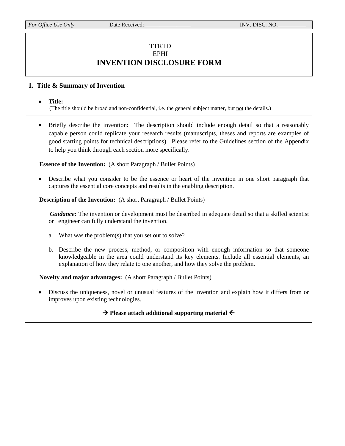#### TTRTD EPHI **INVENTION DISCLOSURE FORM**

#### **1. Title & Summary of Invention**

#### • **Title:**

(The title should be broad and non-confidential, i.e. the general subject matter, but not the details.)

• Briefly describe the invention: The description should include enough detail so that a reasonably capable person could replicate your research results (manuscripts, theses and reports are examples of good starting points for technical descriptions). Please refer to the Guidelines section of the Appendix to help you think through each section more specifically.

 **Essence of the Invention:** (A short Paragraph / Bullet Points)

• Describe what you consider to be the essence or heart of the invention in one short paragraph that captures the essential core concepts and results in the enabling description.

**Description of the Invention:** (A short Paragraph / Bullet Points)

*Guidance:* The invention or development must be described in adequate detail so that a skilled scientist or engineer can fully understand the invention.

- a. What was the problem(s) that you set out to solve?
- b. Describe the new process, method, or composition with enough information so that someone knowledgeable in the area could understand its key elements. Include all essential elements, an explanation of how they relate to one another, and how they solve the problem.

 **Novelty and major advantages:** (A short Paragraph / Bullet Points)

• Discuss the uniqueness, novel or unusual features of the invention and explain how it differs from or improves upon existing technologies.

 $\rightarrow$  Please attach additional supporting material  $\leftarrow$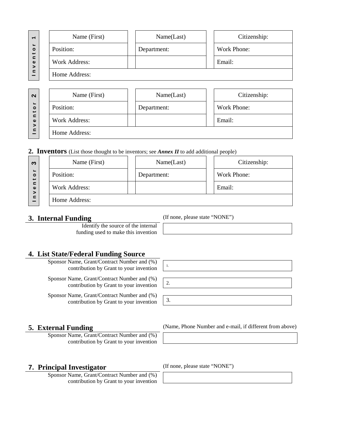| $\overline{ }$                       | Name (First)         |  | Name(Last)  |  | Citizenship:       |  |  |  |
|--------------------------------------|----------------------|--|-------------|--|--------------------|--|--|--|
| $\blacksquare$<br>$\circ$            | Position:            |  | Department: |  | <b>Work Phone:</b> |  |  |  |
| $\epsilon$<br>$\mathbf{\omega}$<br>> | <b>Work Address:</b> |  |             |  | Email:             |  |  |  |
| $\epsilon$                           | Home Address:        |  |             |  |                    |  |  |  |
|                                      |                      |  |             |  |                    |  |  |  |
| $\mathbf{\Omega}$                    | Name (First)         |  | Name(Last)  |  | Citizenship:       |  |  |  |
| $\circ$                              | Position:            |  | Department: |  | <b>Work Phone:</b> |  |  |  |
| $\epsilon$<br>$\omega$<br>⋗          | <b>Work Address:</b> |  |             |  | Email:             |  |  |  |
| $\mathbf{r}$                         | Home Address.        |  |             |  |                    |  |  |  |

| Position:     | Department: | Work Phone: |
|---------------|-------------|-------------|
| Work Address: |             | Email:      |
| Home Address: |             |             |

**2. Inventors** (List those thought to be inventors; see *Annex II* to add additional people)

| ო                                                                            | Name (First)  | Name(Last)  |  | Citizenship: |
|------------------------------------------------------------------------------|---------------|-------------|--|--------------|
| $\overline{\phantom{0}}$<br>$\circ$<br>س<br>⊆<br>$\omega$<br>><br>$\epsilon$ | Position:     | Department: |  | Work Phone:  |
|                                                                              | Work Address: |             |  | Email:       |
|                                                                              | Home Address: |             |  |              |

#### **3. Internal Funding** (If none, please state "NONE")

 $\frac{1}{2}$ 

Identify the source of the internal funding used to make this invention

**4. List State/Federal Funding Source**

Sponsor Name, Grant/Contract Number and (%) contribution by Grant to your invention

Sponsor Name, Grant/Contract Number and (%) contribution by Grant to your invention

Sponsor Name, Grant/Contract Number and (%) contribution by Grant to your invention



Sponsor Name, Grant/Contract Number and (%) contribution by Grant to your invention

**5. External Funding** (Name, Phone Number and e-mail, if different from above)

#### **7. Principal Investigator** (If none, please state "NONE")

Sponsor Name, Grant/Contract Number and (%) contribution by Grant to your invention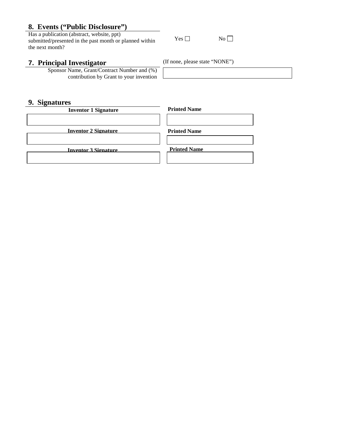# **8. Events ("Public Disclosure")**<br>Has a publication (abstract, website, ppt)

Has a publication (abstract, website, ppt)  $\begin{array}{ccc} \text{Number of the image} & \text{Number of the provided} \\ \text{Number of the image} & \text{Number of the provided} \\ \text{Number of the image} & \text{Number of the provided} \\ \end{array}$ the next month?

#### **7. Principal Investigator** (If none, please state "NONE")

Sponsor Name, Grant/Contract Number and (%) contribution by Grant to your invention

#### **9. Signatures**

**Printed Name Printed Name Printed Name Inventor 1 Signature Inventor 2 Signature Inventor 3 Signature**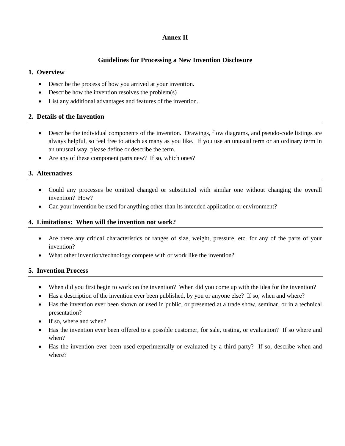#### **Annex II**

#### **Guidelines for Processing a New Invention Disclosure**

#### **1. Overview**

- Describe the process of how you arrived at your invention.
- Describe how the invention resolves the problem(s)
- List any additional advantages and features of the invention.

#### **2. Details of the Invention**

- Describe the individual components of the invention. Drawings, flow diagrams, and pseudo-code listings are always helpful, so feel free to attach as many as you like. If you use an unusual term or an ordinary term in an unusual way, please define or describe the term.
- Are any of these component parts new? If so, which ones?

#### **3. Alternatives**

- Could any processes be omitted changed or substituted with similar one without changing the overall invention? How?
- Can your invention be used for anything other than its intended application or environment?

#### **4. Limitations: When will the invention not work?**

- Are there any critical characteristics or ranges of size, weight, pressure, etc. for any of the parts of your invention?
- What other invention/technology compete with or work like the invention?

#### **5. Invention Process**

- When did you first begin to work on the invention? When did you come up with the idea for the invention?
- Has a description of the invention ever been published, by you or anyone else? If so, when and where?
- Has the invention ever been shown or used in public, or presented at a trade show, seminar, or in a technical presentation?
- If so, where and when?
- Has the invention ever been offered to a possible customer, for sale, testing, or evaluation? If so where and when?
- Has the invention ever been used experimentally or evaluated by a third party? If so, describe when and where?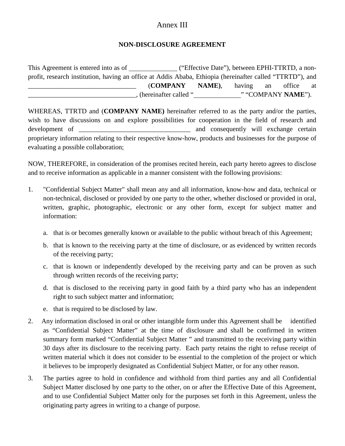# Annex III

#### **NON-DISCLOSURE AGREEMENT**

| This Agreement is entered into as of                                                                      |                       | ("Effective Date"), between EPHI-TTRTD, a non- |        |    |                    |    |
|-----------------------------------------------------------------------------------------------------------|-----------------------|------------------------------------------------|--------|----|--------------------|----|
| profit, research institution, having an office at Addis Ababa, Ethiopia (hereinafter called "TTRTD"), and |                       |                                                |        |    |                    |    |
|                                                                                                           | <b>COMPANY</b>        | NAME),                                         | having | an | office             | at |
|                                                                                                           | (hereinafter called " |                                                |        |    | " "COMPANY NAME"). |    |

WHEREAS, TTRTD and (**COMPANY NAME)** hereinafter referred to as the party and/or the parties, wish to have discussions on and explore possibilities for cooperation in the field of research and development of  $\qquad \qquad$  and consequently will exchange certain proprietary information relating to their respective know-how, products and businesses for the purpose of evaluating a possible collaboration;

NOW, THEREFORE, in consideration of the promises recited herein, each party hereto agrees to disclose and to receive information as applicable in a manner consistent with the following provisions:

- 1. "Confidential Subject Matter" shall mean any and all information, know-how and data, technical or non-technical, disclosed or provided by one party to the other, whether disclosed or provided in oral, written, graphic, photographic, electronic or any other form, except for subject matter and information:
	- a. that is or becomes generally known or available to the public without breach of this Agreement;
	- b. that is known to the receiving party at the time of disclosure, or as evidenced by written records of the receiving party;
	- c. that is known or independently developed by the receiving party and can be proven as such through written records of the receiving party;
	- d. that is disclosed to the receiving party in good faith by a third party who has an independent right to such subject matter and information;
	- e. that is required to be disclosed by law.
- 2. Any information disclosed in oral or other intangible form under this Agreement shall be identified as "Confidential Subject Matter" at the time of disclosure and shall be confirmed in written summary form marked "Confidential Subject Matter " and transmitted to the receiving party within 30 days after its disclosure to the receiving party. Each party retains the right to refuse receipt of written material which it does not consider to be essential to the completion of the project or which it believes to be improperly designated as Confidential Subject Matter, or for any other reason.
- 3. The parties agree to hold in confidence and withhold from third parties any and all Confidential Subject Matter disclosed by one party to the other, on or after the Effective Date of this Agreement, and to use Confidential Subject Matter only for the purposes set forth in this Agreement, unless the originating party agrees in writing to a change of purpose.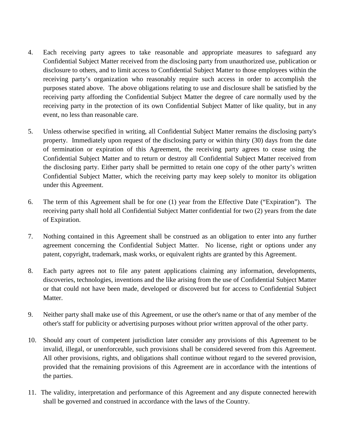- 4. Each receiving party agrees to take reasonable and appropriate measures to safeguard any Confidential Subject Matter received from the disclosing party from unauthorized use, publication or disclosure to others, and to limit access to Confidential Subject Matter to those employees within the receiving party's organization who reasonably require such access in order to accomplish the purposes stated above. The above obligations relating to use and disclosure shall be satisfied by the receiving party affording the Confidential Subject Matter the degree of care normally used by the receiving party in the protection of its own Confidential Subject Matter of like quality, but in any event, no less than reasonable care.
- 5. Unless otherwise specified in writing, all Confidential Subject Matter remains the disclosing party's property. Immediately upon request of the disclosing party or within thirty (30) days from the date of termination or expiration of this Agreement, the receiving party agrees to cease using the Confidential Subject Matter and to return or destroy all Confidential Subject Matter received from the disclosing party. Either party shall be permitted to retain one copy of the other party's written Confidential Subject Matter, which the receiving party may keep solely to monitor its obligation under this Agreement.
- 6. The term of this Agreement shall be for one (1) year from the Effective Date ("Expiration"). The receiving party shall hold all Confidential Subject Matter confidential for two (2) years from the date of Expiration.
- 7. Nothing contained in this Agreement shall be construed as an obligation to enter into any further agreement concerning the Confidential Subject Matter. No license, right or options under any patent, copyright, trademark, mask works, or equivalent rights are granted by this Agreement.
- 8. Each party agrees not to file any patent applications claiming any information, developments, discoveries, technologies, inventions and the like arising from the use of Confidential Subject Matter or that could not have been made, developed or discovered but for access to Confidential Subject Matter.
- 9. Neither party shall make use of this Agreement, or use the other's name or that of any member of the other's staff for publicity or advertising purposes without prior written approval of the other party.
- 10. Should any court of competent jurisdiction later consider any provisions of this Agreement to be invalid, illegal, or unenforceable, such provisions shall be considered severed from this Agreement. All other provisions, rights, and obligations shall continue without regard to the severed provision, provided that the remaining provisions of this Agreement are in accordance with the intentions of the parties.
- 11. The validity, interpretation and performance of this Agreement and any dispute connected herewith shall be governed and construed in accordance with the laws of the Country.